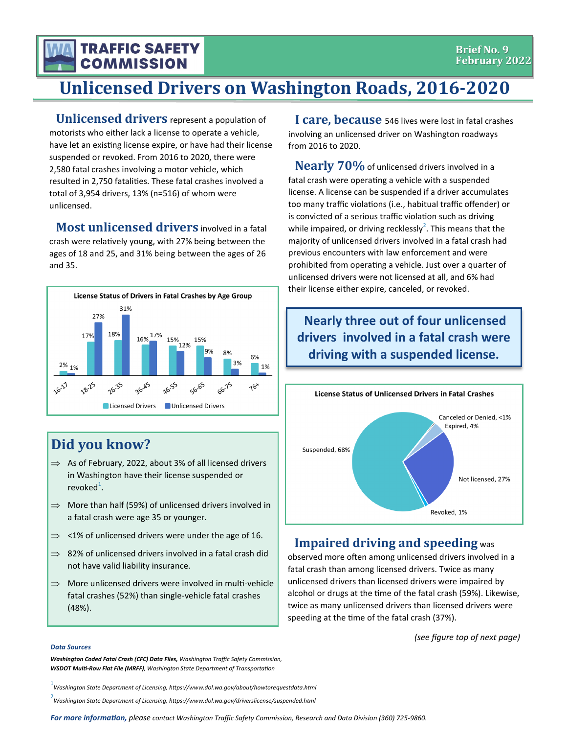# **COMMISSION Unlicensed Drivers on Washington Roads, 2016-2020**

**Unlicensed drivers** represent a population of motorists who either lack a license to operate a vehicle, have let an existing license expire, or have had their license suspended or revoked. From 2016 to 2020, there were 2,580 fatal crashes involving a motor vehicle, which resulted in 2,750 fatalities. These fatal crashes involved a total of 3,954 drivers, 13% (n=516) of whom were unlicensed.

**TRAFFIC SAFETY** 

**Most unlicensed drivers** involved in a fatal crash were relatively young, with 27% being between the ages of 18 and 25, and 31% being between the ages of 26 and 35.



## **Did you know?**

- $\Rightarrow$  As of February, 2022, about 3% of all licensed drivers in Washington have their license suspended or revoked<sup>1</sup>.
- $\Rightarrow$  More than half (59%) of unlicensed drivers involved in a fatal crash were age 35 or younger.
- $\Rightarrow$  <1% of unlicensed drivers were under the age of 16.
- $\Rightarrow$  82% of unlicensed drivers involved in a fatal crash did not have valid liability insurance.
- $\Rightarrow$  More unlicensed drivers were involved in multi-vehicle fatal crashes (52%) than single-vehicle fatal crashes (48%).

**I care, because** 546 lives were lost in fatal crashes involving an unlicensed driver on Washington roadways from 2016 to 2020.

**Nearly 70%**of unlicensed drivers involved in a fatal crash were operating a vehicle with a suspended license. A license can be suspended if a driver accumulates too many traffic violations (i.e., habitual traffic offender) or is convicted of a serious traffic violation such as driving while impaired, or driving recklessly<sup>2</sup>. This means that the majority of unlicensed drivers involved in a fatal crash had previous encounters with law enforcement and were prohibited from operating a vehicle. Just over a quarter of unlicensed drivers were not licensed at all, and 6% had their license either expire, canceled, or revoked.

### **Nearly three out of four unlicensed drivers involved in a fatal crash were driving with a suspended license.**



#### **Impaired driving and speeding** was

observed more often among unlicensed drivers involved in a fatal crash than among licensed drivers. Twice as many unlicensed drivers than licensed drivers were impaired by alcohol or drugs at the time of the fatal crash (59%). Likewise, twice as many unlicensed drivers than licensed drivers were speeding at the time of the fatal crash (37%).

*(see figure top of next page)*

#### *Data Sources*

*Washington Coded Fatal Crash (CFC) Data Files, Washington Traffic Safety Commission, WSDOT Multi-Row Flat File (MRFF), Washington State Department of Transportation*

1 *Washington State Department of Licensing, https://www.dol.wa.gov/about/howtorequestdata.html*

2 *Washington State Department of Licensing, https://www.dol.wa.gov/driverslicense/suspended.html*